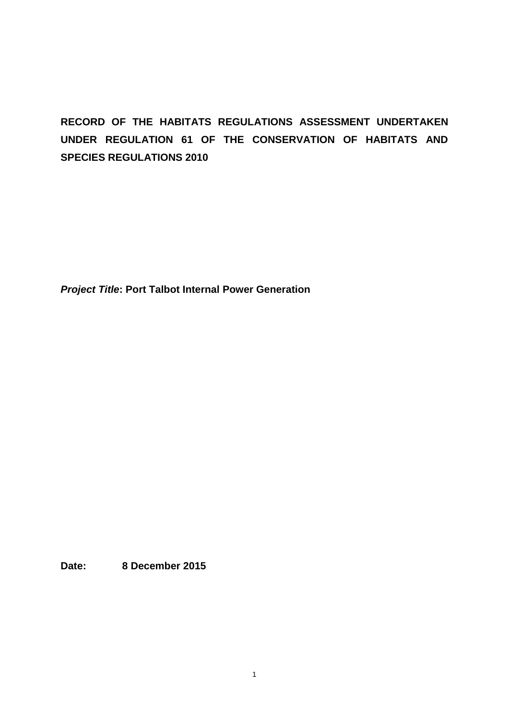# **RECORD OF THE HABITATS REGULATIONS ASSESSMENT UNDERTAKEN UNDER REGULATION 61 OF THE CONSERVATION OF HABITATS AND SPECIES REGULATIONS 2010**

*Project Title***: Port Talbot Internal Power Generation**

**Date: 8 December 2015**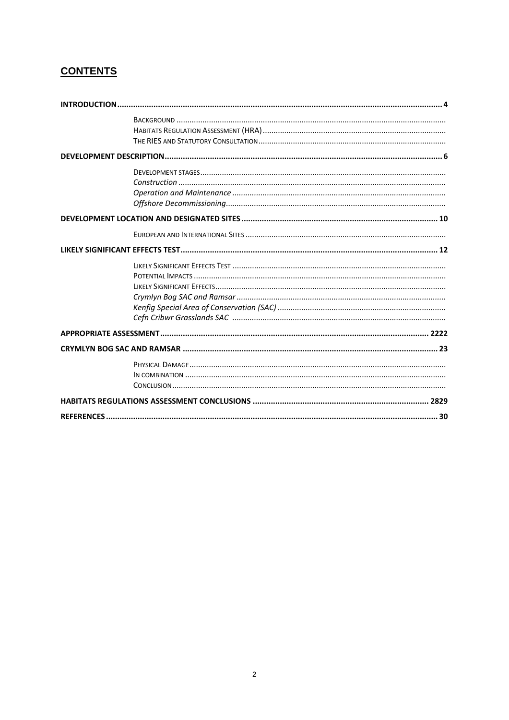## **CONTENTS**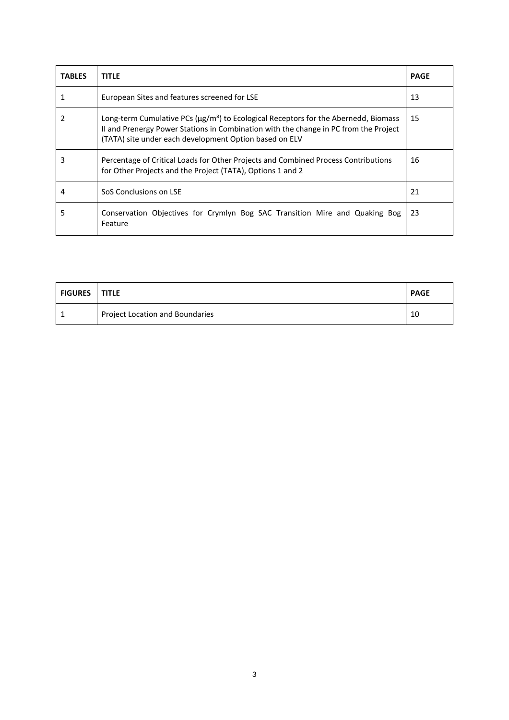| <b>TABLES</b> | <b>TITLE</b>                                                                                                                                                                                                                                            | <b>PAGE</b> |
|---------------|---------------------------------------------------------------------------------------------------------------------------------------------------------------------------------------------------------------------------------------------------------|-------------|
|               | European Sites and features screened for LSE                                                                                                                                                                                                            | 13          |
| 2             | Long-term Cumulative PCs ( $\mu$ g/m <sup>3</sup> ) to Ecological Receptors for the Abernedd, Biomass<br>II and Prenergy Power Stations in Combination with the change in PC from the Project<br>(TATA) site under each development Option based on ELV | 15          |
| 3             | Percentage of Critical Loads for Other Projects and Combined Process Contributions<br>for Other Projects and the Project (TATA), Options 1 and 2                                                                                                        | 16          |
| 4             | SoS Conclusions on LSE                                                                                                                                                                                                                                  | 21          |
| 5             | Conservation Objectives for Crymlyn Bog SAC Transition Mire and Quaking Bog<br>Feature                                                                                                                                                                  | 23          |

| <b>FIGURES</b> | <b>TITLE</b>                    | <b>PAGE</b> |
|----------------|---------------------------------|-------------|
|                | Project Location and Boundaries | 10          |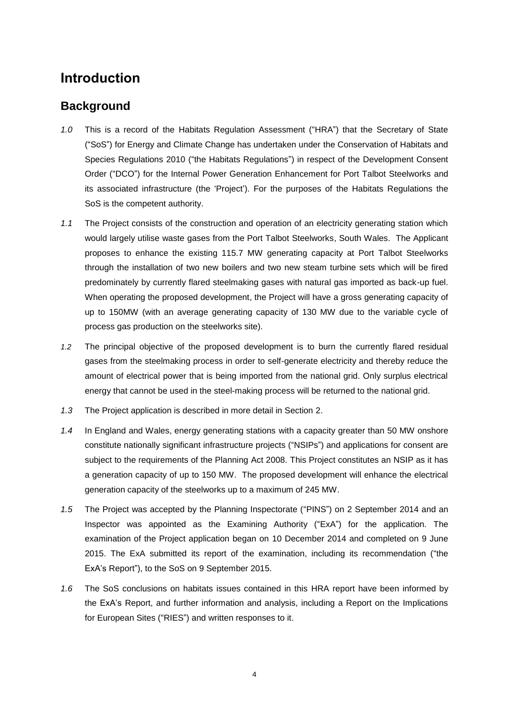## <span id="page-3-0"></span>**Introduction**

## <span id="page-3-1"></span>**Background**

- *1.0* This is a record of the Habitats Regulation Assessment ("HRA") that the Secretary of State ("SoS") for Energy and Climate Change has undertaken under the Conservation of Habitats and Species Regulations 2010 ("the Habitats Regulations") in respect of the Development Consent Order ("DCO") for the Internal Power Generation Enhancement for Port Talbot Steelworks and its associated infrastructure (the 'Project'). For the purposes of the Habitats Regulations the SoS is the competent authority.
- *1.1* The Project consists of the construction and operation of an electricity generating station which would largely utilise waste gases from the Port Talbot Steelworks, South Wales. The Applicant proposes to enhance the existing 115.7 MW generating capacity at Port Talbot Steelworks through the installation of two new boilers and two new steam turbine sets which will be fired predominately by currently flared steelmaking gases with natural gas imported as back-up fuel. When operating the proposed development, the Project will have a gross generating capacity of up to 150MW (with an average generating capacity of 130 MW due to the variable cycle of process gas production on the steelworks site).
- *1.2* The principal objective of the proposed development is to burn the currently flared residual gases from the steelmaking process in order to self-generate electricity and thereby reduce the amount of electrical power that is being imported from the national grid. Only surplus electrical energy that cannot be used in the steel-making process will be returned to the national grid.
- *1.3* The Project application is described in more detail in Section 2.
- *1.4* In England and Wales, energy generating stations with a capacity greater than 50 MW onshore constitute nationally significant infrastructure projects ("NSIPs") and applications for consent are subject to the requirements of the Planning Act 2008. This Project constitutes an NSIP as it has a generation capacity of up to 150 MW. The proposed development will enhance the electrical generation capacity of the steelworks up to a maximum of 245 MW.
- *1.5* The Project was accepted by the Planning Inspectorate ("PINS") on 2 September 2014 and an Inspector was appointed as the Examining Authority ("ExA") for the application. The examination of the Project application began on 10 December 2014 and completed on 9 June 2015. The ExA submitted its report of the examination, including its recommendation ("the ExA's Report"), to the SoS on 9 September 2015.
- <span id="page-3-2"></span>*1.6* The SoS conclusions on habitats issues contained in this HRA report have been informed by the ExA's Report, and further information and analysis, including a Report on the Implications for European Sites ("RIES") and written responses to it.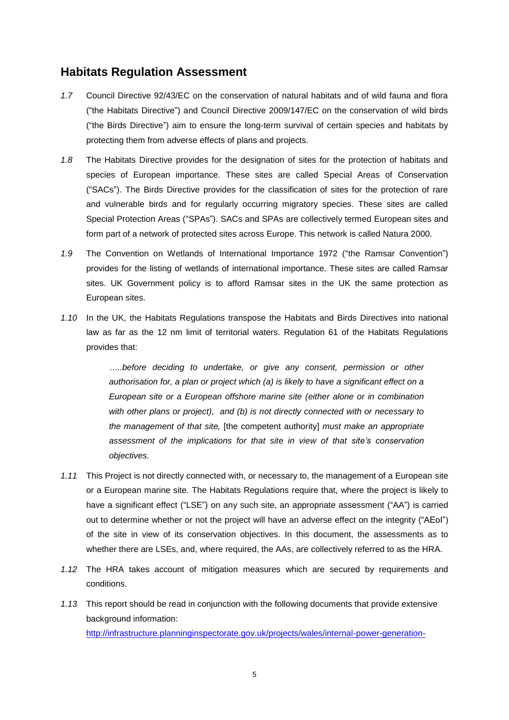### **Habitats Regulation Assessment**

- *1.7* Council Directive 92/43/EC on the conservation of natural habitats and of wild fauna and flora ("the Habitats Directive") and Council Directive 2009/147/EC on the conservation of wild birds ("the Birds Directive") aim to ensure the long-term survival of certain species and habitats by protecting them from adverse effects of plans and projects.
- *1.8* The Habitats Directive provides for the designation of sites for the protection of habitats and species of European importance. These sites are called Special Areas of Conservation ("SACs"). The Birds Directive provides for the classification of sites for the protection of rare and vulnerable birds and for regularly occurring migratory species. These sites are called Special Protection Areas ("SPAs"). SACs and SPAs are collectively termed European sites and form part of a network of protected sites across Europe. This network is called Natura 2000.
- *1.9* The Convention on Wetlands of International Importance 1972 ("the Ramsar Convention") provides for the listing of wetlands of international importance. These sites are called Ramsar sites. UK Government policy is to afford Ramsar sites in the UK the same protection as European sites.
- *1.10* In the UK, the Habitats Regulations transpose the Habitats and Birds Directives into national law as far as the 12 nm limit of territorial waters. Regulation 61 of the Habitats Regulations provides that:

*…..before deciding to undertake, or give any consent, permission or other authorisation for, a plan or project which (a) is likely to have a significant effect on a European site or a European offshore marine site (either alone or in combination with other plans or project), and (b) is not directly connected with or necessary to the management of that site,* [the competent authority] *must make an appropriate assessment of the implications for that site in view of that site's conservation objectives.*

- *1.11* This Project is not directly connected with, or necessary to, the management of a European site or a European marine site. The Habitats Regulations require that, where the project is likely to have a significant effect ("LSE") on any such site, an appropriate assessment ("AA") is carried out to determine whether or not the project will have an adverse effect on the integrity ("AEoI") of the site in view of its conservation objectives. In this document, the assessments as to whether there are LSEs, and, where required, the AAs, are collectively referred to as the HRA.
- *1.12* The HRA takes account of mitigation measures which are secured by requirements and conditions.
- *1.13* This report should be read in conjunction with the following documents that provide extensive background information: [http://infrastructure.planninginspectorate.gov.uk/projects/wales/internal-power-generation-](http://infrastructure.planninginspectorate.gov.uk/projects/wales/internal-power-generation-enhancement-for-port-talbot-steelworks/)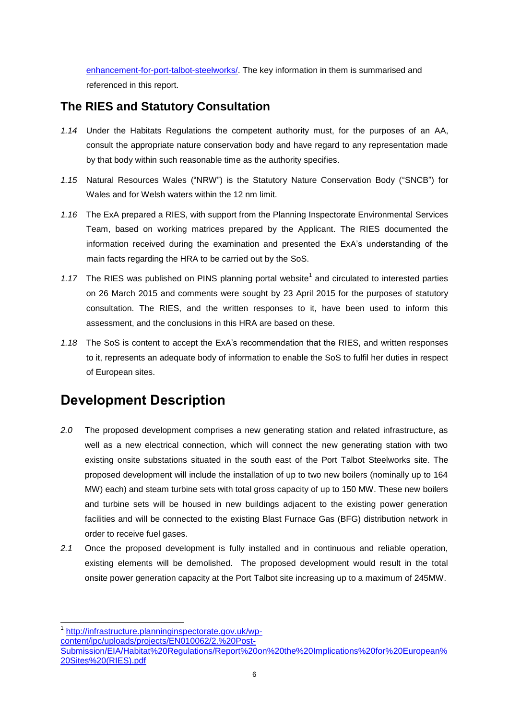[enhancement-for-port-talbot-steelworks/.](http://infrastructure.planninginspectorate.gov.uk/projects/wales/internal-power-generation-enhancement-for-port-talbot-steelworks/) The key information in them is summarised and referenced in this report.

## <span id="page-5-0"></span>**The RIES and Statutory Consultation**

- *1.14* Under the Habitats Regulations the competent authority must, for the purposes of an AA, consult the appropriate nature conservation body and have regard to any representation made by that body within such reasonable time as the authority specifies.
- *1.15* Natural Resources Wales ("NRW") is the Statutory Nature Conservation Body ("SNCB") for Wales and for Welsh waters within the 12 nm limit.
- *1.16* The ExA prepared a RIES, with support from the Planning Inspectorate Environmental Services Team, based on working matrices prepared by the Applicant. The RIES documented the information received during the examination and presented the ExA's understanding of the main facts regarding the HRA to be carried out by the SoS.
- 1.17 The RIES was published on PINS planning portal website<sup>1</sup> and circulated to interested parties on 26 March 2015 and comments were sought by 23 April 2015 for the purposes of statutory consultation. The RIES, and the written responses to it, have been used to inform this assessment, and the conclusions in this HRA are based on these.
- *1.18* The SoS is content to accept the ExA's recommendation that the RIES, and written responses to it, represents an adequate body of information to enable the SoS to fulfil her duties in respect of European sites.

# <span id="page-5-1"></span>**Development Description**

l

- *2.0* The proposed development comprises a new generating station and related infrastructure, as well as a new electrical connection, which will connect the new generating station with two existing onsite substations situated in the south east of the Port Talbot Steelworks site. The proposed development will include the installation of up to two new boilers (nominally up to 164 MW) each) and steam turbine sets with total gross capacity of up to 150 MW. These new boilers and turbine sets will be housed in new buildings adjacent to the existing power generation facilities and will be connected to the existing Blast Furnace Gas (BFG) distribution network in order to receive fuel gases.
- *2.1* Once the proposed development is fully installed and in continuous and reliable operation, existing elements will be demolished. The proposed development would result in the total onsite power generation capacity at the Port Talbot site increasing up to a maximum of 245MW.

<sup>1</sup> [http://infrastructure.planninginspectorate.gov.uk/wp](http://infrastructure.planninginspectorate.gov.uk/wp-content/ipc/uploads/projects/EN010062/2.%20Post-Submission/EIA/Habitat%20Regulations/Report%20on%20the%20Implications%20for%20European%20Sites%20(RIES).pdf)[content/ipc/uploads/projects/EN010062/2.%20Post-](http://infrastructure.planninginspectorate.gov.uk/wp-content/ipc/uploads/projects/EN010062/2.%20Post-Submission/EIA/Habitat%20Regulations/Report%20on%20the%20Implications%20for%20European%20Sites%20(RIES).pdf)[Submission/EIA/Habitat%20Regulations/Report%20on%20the%20Implications%20for%20European%](http://infrastructure.planninginspectorate.gov.uk/wp-content/ipc/uploads/projects/EN010062/2.%20Post-Submission/EIA/Habitat%20Regulations/Report%20on%20the%20Implications%20for%20European%20Sites%20(RIES).pdf) [20Sites%20\(RIES\).pdf](http://infrastructure.planninginspectorate.gov.uk/wp-content/ipc/uploads/projects/EN010062/2.%20Post-Submission/EIA/Habitat%20Regulations/Report%20on%20the%20Implications%20for%20European%20Sites%20(RIES).pdf)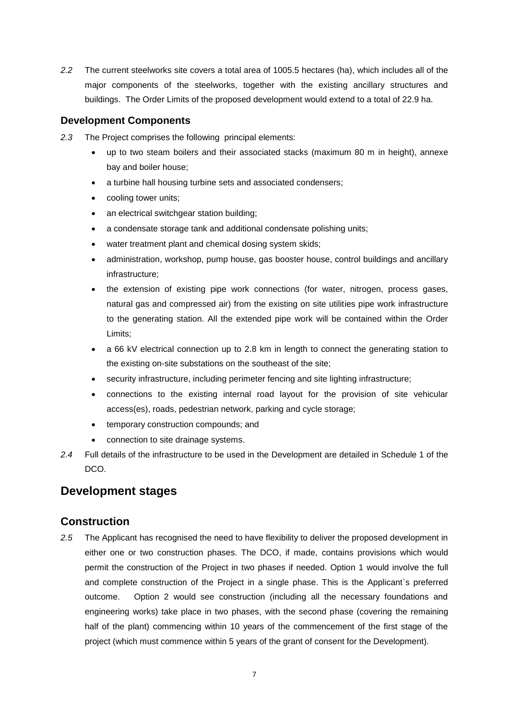*2.2* The current steelworks site covers a total area of 1005.5 hectares (ha), which includes all of the major components of the steelworks, together with the existing ancillary structures and buildings. The Order Limits of the proposed development would extend to a total of 22.9 ha.

#### **Development Components**

- *2.3* The Project comprises the following principal elements:
	- up to two steam boilers and their associated stacks (maximum 80 m in height), annexe bay and boiler house;
	- a turbine hall housing turbine sets and associated condensers;
	- cooling tower units;
	- an electrical switchgear station building:
	- a condensate storage tank and additional condensate polishing units;
	- water treatment plant and chemical dosing system skids;
	- administration, workshop, pump house, gas booster house, control buildings and ancillary infrastructure;
	- the extension of existing pipe work connections (for water, nitrogen, process gases, natural gas and compressed air) from the existing on site utilities pipe work infrastructure to the generating station. All the extended pipe work will be contained within the Order Limits;
	- a 66 kV electrical connection up to 2.8 km in length to connect the generating station to the existing on-site substations on the southeast of the site;
	- security infrastructure, including perimeter fencing and site lighting infrastructure;
	- connections to the existing internal road layout for the provision of site vehicular access(es), roads, pedestrian network, parking and cycle storage;
	- temporary construction compounds; and
	- connection to site drainage systems.
- *2.4* Full details of the infrastructure to be used in the Development are detailed in Schedule 1 of the DCO.

## <span id="page-6-0"></span>**Development stages**

### <span id="page-6-1"></span>**Construction**

*2.5* The Applicant has recognised the need to have flexibility to deliver the proposed development in either one or two construction phases. The DCO, if made, contains provisions which would permit the construction of the Project in two phases if needed. Option 1 would involve the full and complete construction of the Project in a single phase. This is the Applicant`s preferred outcome. Option 2 would see construction (including all the necessary foundations and engineering works) take place in two phases, with the second phase (covering the remaining half of the plant) commencing within 10 years of the commencement of the first stage of the project (which must commence within 5 years of the grant of consent for the Development).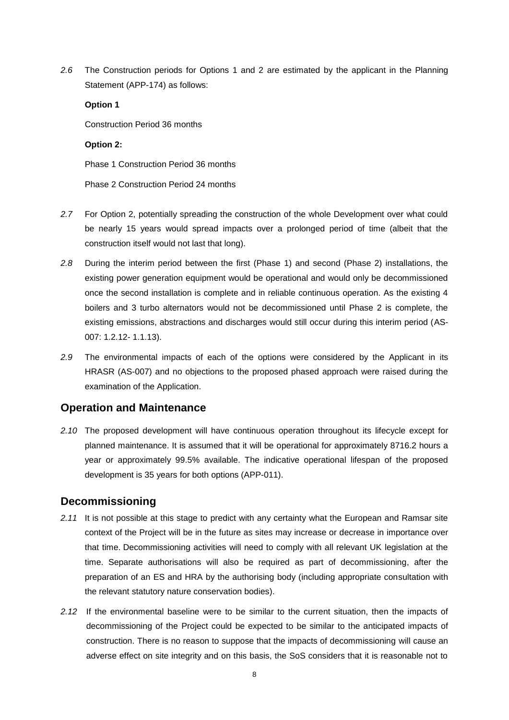*2.6* The Construction periods for Options 1 and 2 are estimated by the applicant in the Planning Statement (APP-174) as follows:

#### **Option 1**

Construction Period 36 months

#### **Option 2:**

Phase 1 Construction Period 36 months

Phase 2 Construction Period 24 months

- *2.7* For Option 2, potentially spreading the construction of the whole Development over what could be nearly 15 years would spread impacts over a prolonged period of time (albeit that the construction itself would not last that long).
- *2.8* During the interim period between the first (Phase 1) and second (Phase 2) installations, the existing power generation equipment would be operational and would only be decommissioned once the second installation is complete and in reliable continuous operation. As the existing 4 boilers and 3 turbo alternators would not be decommissioned until Phase 2 is complete, the existing emissions, abstractions and discharges would still occur during this interim period (AS-007: 1.2.12- 1.1.13).
- *2.9* The environmental impacts of each of the options were considered by the Applicant in its HRASR (AS-007) and no objections to the proposed phased approach were raised during the examination of the Application.

### <span id="page-7-0"></span>**Operation and Maintenance**

*2.10* The proposed development will have continuous operation throughout its lifecycle except for planned maintenance. It is assumed that it will be operational for approximately 8716.2 hours a year or approximately 99.5% available. The indicative operational lifespan of the proposed development is 35 years for both options (APP-011).

## <span id="page-7-1"></span>**Decommissioning**

- *2.11* It is not possible at this stage to predict with any certainty what the European and Ramsar site context of the Project will be in the future as sites may increase or decrease in importance over that time. Decommissioning activities will need to comply with all relevant UK legislation at the time. Separate authorisations will also be required as part of decommissioning, after the preparation of an ES and HRA by the authorising body (including appropriate consultation with the relevant statutory nature conservation bodies).
- *2.12* If the environmental baseline were to be similar to the current situation, then the impacts of decommissioning of the Project could be expected to be similar to the anticipated impacts of construction. There is no reason to suppose that the impacts of decommissioning will cause an adverse effect on site integrity and on this basis, the SoS considers that it is reasonable not to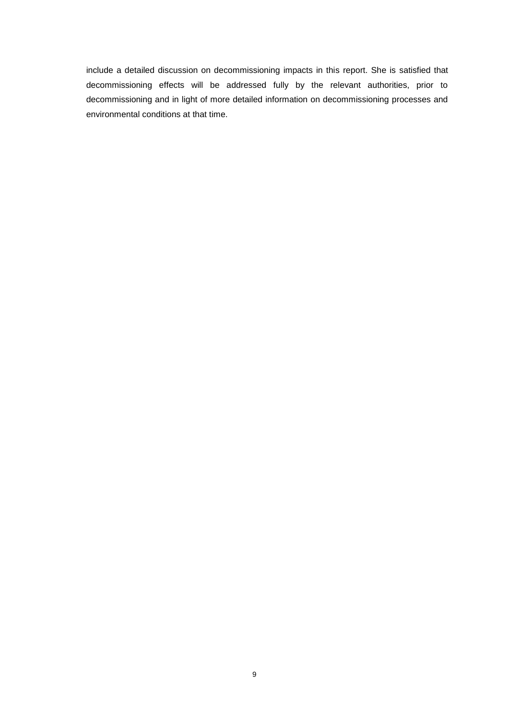include a detailed discussion on decommissioning impacts in this report. She is satisfied that decommissioning effects will be addressed fully by the relevant authorities, prior to decommissioning and in light of more detailed information on decommissioning processes and environmental conditions at that time.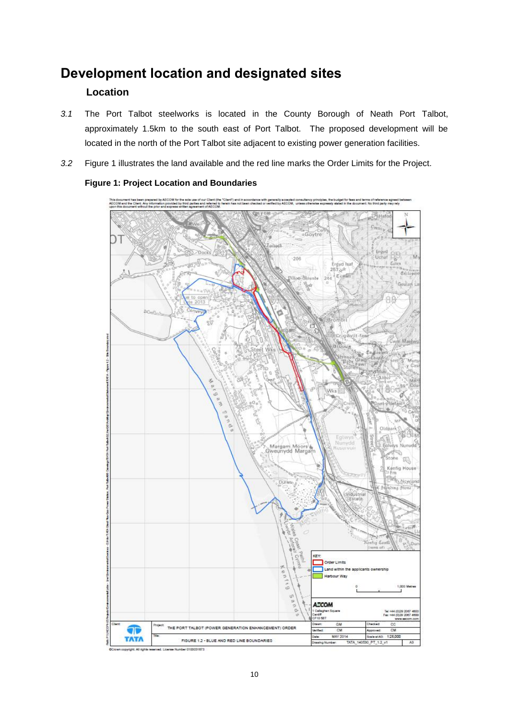## <span id="page-9-0"></span>**Development location and designated sites**

### **Location**

- *3.1* The Port Talbot steelworks is located in the County Borough of Neath Port Talbot, approximately 1.5km to the south east of Port Talbot. The proposed development will be located in the north of the Port Talbot site adjacent to existing power generation facilities.
- *3.2* Figure 1 illustrates the land available and the red line marks the Order Limits for the Project.



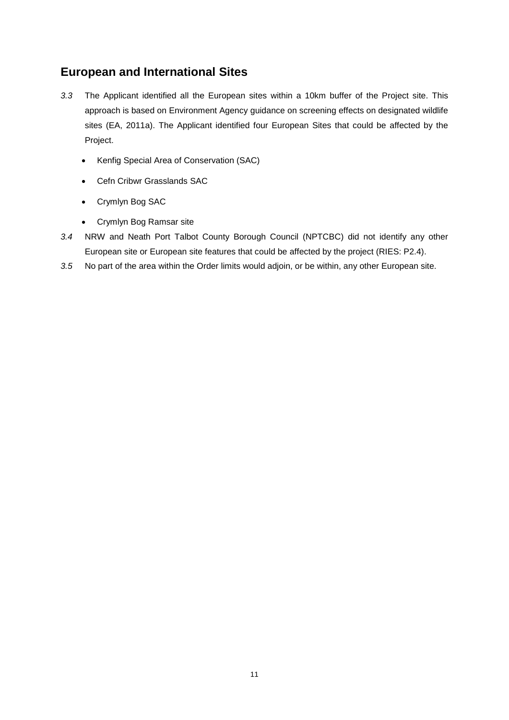## <span id="page-10-0"></span>**European and International Sites**

- *3.3* The Applicant identified all the European sites within a 10km buffer of the Project site. This approach is based on Environment Agency guidance on screening effects on designated wildlife sites (EA, 2011a). The Applicant identified four European Sites that could be affected by the Project.
	- Kenfig Special Area of Conservation (SAC)
	- Cefn Cribwr Grasslands SAC
	- Crymlyn Bog SAC
	- Crymlyn Bog Ramsar site
- *3.4* NRW and Neath Port Talbot County Borough Council (NPTCBC) did not identify any other European site or European site features that could be affected by the project (RIES: P2.4).
- *3.5* No part of the area within the Order limits would adjoin, or be within, any other European site.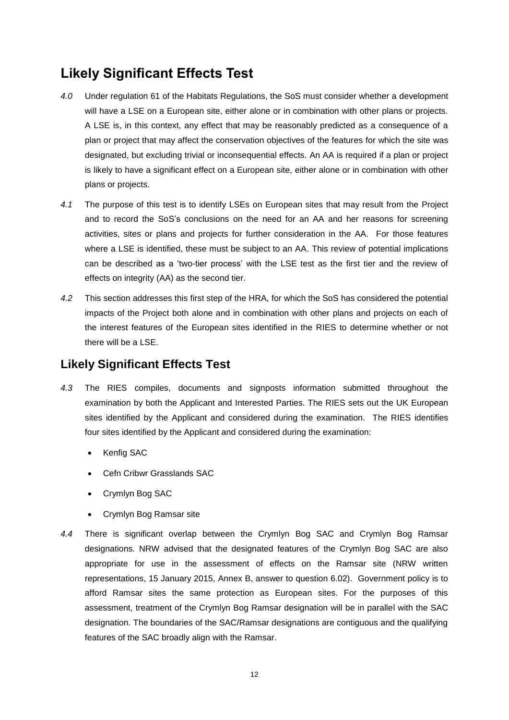# **Likely Significant Effects Test**

- *4.0* Under regulation 61 of the Habitats Regulations, the SoS must consider whether a development will have a LSE on a European site, either alone or in combination with other plans or projects. A LSE is, in this context, any effect that may be reasonably predicted as a consequence of a plan or project that may affect the conservation objectives of the features for which the site was designated, but excluding trivial or inconsequential effects. An AA is required if a plan or project is likely to have a significant effect on a European site, either alone or in combination with other plans or projects.
- *4.1* The purpose of this test is to identify LSEs on European sites that may result from the Project and to record the SoS's conclusions on the need for an AA and her reasons for screening activities, sites or plans and projects for further consideration in the AA. For those features where a LSE is identified, these must be subject to an AA. This review of potential implications can be described as a 'two-tier process' with the LSE test as the first tier and the review of effects on integrity (AA) as the second tier.
- *4.2* This section addresses this first step of the HRA, for which the SoS has considered the potential impacts of the Project both alone and in combination with other plans and projects on each of the interest features of the European sites identified in the RIES to determine whether or not there will be a LSE.

## <span id="page-11-0"></span>**Likely Significant Effects Test**

- *4.3* The RIES compiles, documents and signposts information submitted throughout the examination by both the Applicant and Interested Parties. The RIES sets out the UK European sites identified by the Applicant and considered during the examination. The RIES identifies four sites identified by the Applicant and considered during the examination:
	- Kenfig SAC
	- Cefn Cribwr Grasslands SAC
	- Crymlyn Bog SAC
	- Crymlyn Bog Ramsar site
- *4.4* There is significant overlap between the Crymlyn Bog SAC and Crymlyn Bog Ramsar designations. NRW advised that the designated features of the Crymlyn Bog SAC are also appropriate for use in the assessment of effects on the Ramsar site (NRW written representations, 15 January 2015, Annex B, answer to question 6.02). Government policy is to afford Ramsar sites the same protection as European sites. For the purposes of this assessment, treatment of the Crymlyn Bog Ramsar designation will be in parallel with the SAC designation. The boundaries of the SAC/Ramsar designations are contiguous and the qualifying features of the SAC broadly align with the Ramsar.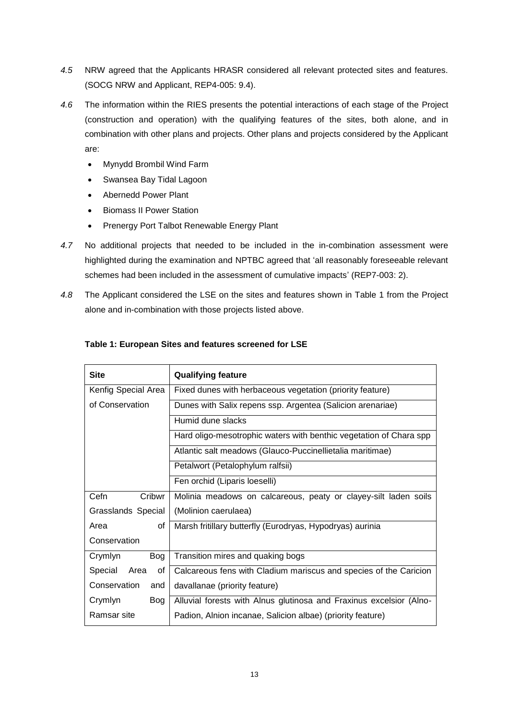- *4.5* NRW agreed that the Applicants HRASR considered all relevant protected sites and features. (SOCG NRW and Applicant, REP4-005: 9.4).
- *4.6* The information within the RIES presents the potential interactions of each stage of the Project (construction and operation) with the qualifying features of the sites, both alone, and in combination with other plans and projects. Other plans and projects considered by the Applicant are:
	- Mynydd Brombil Wind Farm
	- Swansea Bay Tidal Lagoon
	- Abernedd Power Plant
	- **•** Biomass II Power Station
	- Prenergy Port Talbot Renewable Energy Plant
- *4.7* No additional projects that needed to be included in the in-combination assessment were highlighted during the examination and NPTBC agreed that 'all reasonably foreseeable relevant schemes had been included in the assessment of cumulative impacts' (REP7-003: 2).
- *4.8* The Applicant considered the LSE on the sites and features shown in Table 1 from the Project alone and in-combination with those projects listed above.

| <b>Site</b>               | <b>Qualifying feature</b>                                           |  |  |  |
|---------------------------|---------------------------------------------------------------------|--|--|--|
| Kenfig Special Area       | Fixed dunes with herbaceous vegetation (priority feature)           |  |  |  |
| of Conservation           | Dunes with Salix repens ssp. Argentea (Salicion arenariae)          |  |  |  |
|                           | Humid dune slacks                                                   |  |  |  |
|                           | Hard oligo-mesotrophic waters with benthic vegetation of Chara spp  |  |  |  |
|                           | Atlantic salt meadows (Glauco-Puccinellietalia maritimae)           |  |  |  |
|                           | Petalwort (Petalophylum ralfsii)                                    |  |  |  |
|                           | Fen orchid (Liparis loeselli)                                       |  |  |  |
| Cefn<br>Cribwr            | Molinia meadows on calcareous, peaty or clayey-silt laden soils     |  |  |  |
| <b>Grasslands Special</b> | (Molinion caerulaea)                                                |  |  |  |
| Area<br>οf                | Marsh fritillary butterfly (Eurodryas, Hypodryas) aurinia           |  |  |  |
| Conservation              |                                                                     |  |  |  |
| Crymlyn<br><b>Bog</b>     | Transition mires and quaking bogs                                   |  |  |  |
| Special<br>Area<br>οf     | Calcareous fens with Cladium mariscus and species of the Caricion   |  |  |  |
| Conservation<br>and       | davallanae (priority feature)                                       |  |  |  |
| Crymlyn<br>Bog            | Alluvial forests with Alnus glutinosa and Fraxinus excelsior (Alno- |  |  |  |
| Ramsar site               | Padion, Alnion incanae, Salicion albae) (priority feature)          |  |  |  |

#### **Table 1: European Sites and features screened for LSE**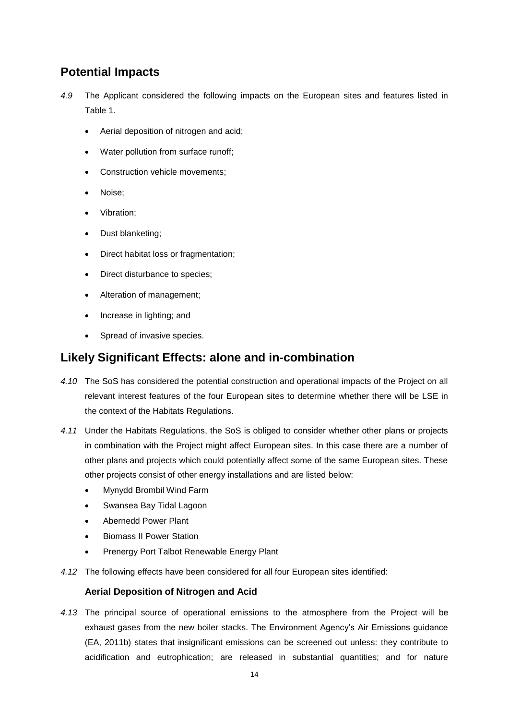## <span id="page-13-0"></span>**Potential Impacts**

- *4.9* The Applicant considered the following impacts on the European sites and features listed in Table 1.
	- Aerial deposition of nitrogen and acid;
	- Water pollution from surface runoff;
	- Construction vehicle movements;
	- Noise;
	- Vibration;
	- Dust blanketing;
	- Direct habitat loss or fragmentation;
	- Direct disturbance to species;
	- Alteration of management;
	- Increase in lighting; and
	- Spread of invasive species.

## <span id="page-13-1"></span>**Likely Significant Effects: alone and in-combination**

- *4.10* The SoS has considered the potential construction and operational impacts of the Project on all relevant interest features of the four European sites to determine whether there will be LSE in the context of the Habitats Regulations.
- *4.11* Under the Habitats Regulations, the SoS is obliged to consider whether other plans or projects in combination with the Project might affect European sites. In this case there are a number of other plans and projects which could potentially affect some of the same European sites. These other projects consist of other energy installations and are listed below:
	- Mynydd Brombil Wind Farm
	- Swansea Bay Tidal Lagoon
	- Abernedd Power Plant
	- Biomass II Power Station
	- Prenergy Port Talbot Renewable Energy Plant
- *4.12* The following effects have been considered for all four European sites identified:

#### **Aerial Deposition of Nitrogen and Acid**

*4.13* The principal source of operational emissions to the atmosphere from the Project will be exhaust gases from the new boiler stacks. The Environment Agency's Air Emissions guidance (EA, 2011b) states that insignificant emissions can be screened out unless: they contribute to acidification and eutrophication; are released in substantial quantities; and for nature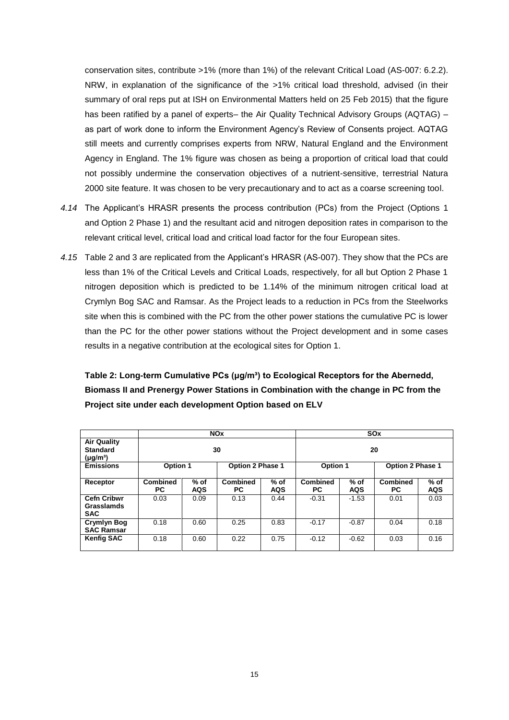conservation sites, contribute >1% (more than 1%) of the relevant Critical Load (AS-007: 6.2.2). NRW, in explanation of the significance of the >1% critical load threshold, advised (in their summary of oral reps put at ISH on Environmental Matters held on 25 Feb 2015) that the figure has been ratified by a panel of experts– the Air Quality Technical Advisory Groups (AQTAG) – as part of work done to inform the Environment Agency's Review of Consents project. AQTAG still meets and currently comprises experts from NRW, Natural England and the Environment Agency in England. The 1% figure was chosen as being a proportion of critical load that could not possibly undermine the conservation objectives of a nutrient-sensitive, terrestrial Natura 2000 site feature. It was chosen to be very precautionary and to act as a coarse screening tool.

- *4.14* The Applicant's HRASR presents the process contribution (PCs) from the Project (Options 1 and Option 2 Phase 1) and the resultant acid and nitrogen deposition rates in comparison to the relevant critical level, critical load and critical load factor for the four European sites.
- *4.15* Table 2 and 3 are replicated from the Applicant's HRASR (AS-007). They show that the PCs are less than 1% of the Critical Levels and Critical Loads, respectively, for all but Option 2 Phase 1 nitrogen deposition which is predicted to be 1.14% of the minimum nitrogen critical load at Crymlyn Bog SAC and Ramsar. As the Project leads to a reduction in PCs from the Steelworks site when this is combined with the PC from the other power stations the cumulative PC is lower than the PC for the other power stations without the Project development and in some cases results in a negative contribution at the ecological sites for Option 1.

**Table 2: Long-term Cumulative PCs (μg/m³) to Ecological Receptors for the Abernedd, Biomass II and Prenergy Power Stations in Combination with the change in PC from the Project site under each development Option based on ELV**

|                                                        | <b>NO<sub>x</sub></b>  |                    |                         |                      | <b>SO<sub>x</sub></b>  |                      |                         |                      |
|--------------------------------------------------------|------------------------|--------------------|-------------------------|----------------------|------------------------|----------------------|-------------------------|----------------------|
| <b>Air Quality</b><br><b>Standard</b><br>$(\mu g/m^3)$ | 30                     |                    |                         |                      | 20                     |                      |                         |                      |
| <b>Emissions</b>                                       | Option 1               |                    | <b>Option 2 Phase 1</b> |                      | Option 1               |                      | <b>Option 2 Phase 1</b> |                      |
| Receptor                                               | <b>Combined</b><br>PC. | % of<br><b>AQS</b> | <b>Combined</b><br>PC.  | $%$ of<br><b>AQS</b> | <b>Combined</b><br>PC. | $%$ of<br><b>AQS</b> | <b>Combined</b><br>РC   | $%$ of<br><b>AQS</b> |
| <b>Cefn Cribwr</b><br>Grasslamds<br><b>SAC</b>         | 0.03                   | 0.09               | 0.13                    | 0.44                 | $-0.31$                | $-1.53$              | 0.01                    | 0.03                 |
| <b>Crymlyn Bog</b><br><b>SAC Ramsar</b>                | 0.18                   | 0.60               | 0.25                    | 0.83                 | $-0.17$                | $-0.87$              | 0.04                    | 0.18                 |
| <b>Kenfig SAC</b>                                      | 0.18                   | 0.60               | 0.22                    | 0.75                 | $-0.12$                | $-0.62$              | 0.03                    | 0.16                 |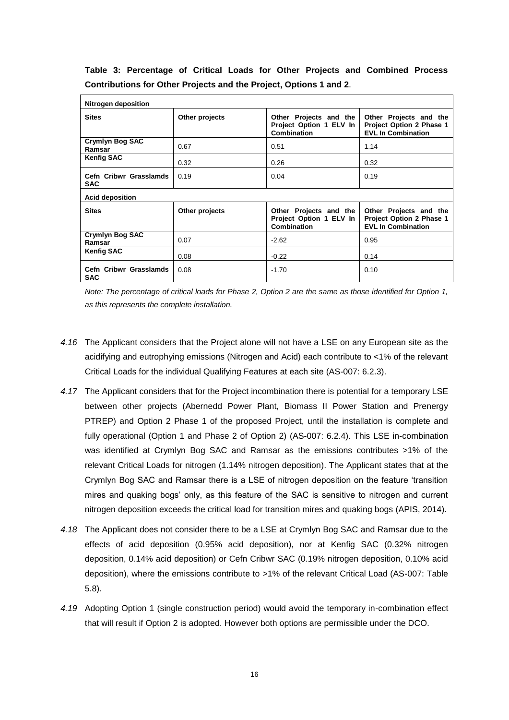| Table 3: Percentage of Critical Loads for Other Projects and Combined Process |  |  |  |  |  |
|-------------------------------------------------------------------------------|--|--|--|--|--|
| Contributions for Other Projects and the Project, Options 1 and 2.            |  |  |  |  |  |

| <b>Nitrogen deposition</b>           |                |                                                                  |                                                                                 |  |  |
|--------------------------------------|----------------|------------------------------------------------------------------|---------------------------------------------------------------------------------|--|--|
| <b>Sites</b>                         | Other projects | Other Projects and the<br>Project Option 1 ELV In<br>Combination | Other Projects and the<br>Project Option 2 Phase 1<br><b>EVL In Combination</b> |  |  |
| Crymlyn Bog SAC<br>Ramsar            | 0.67           | 0.51                                                             | 1.14                                                                            |  |  |
| <b>Kenfig SAC</b>                    | 0.32           | 0.26                                                             | 0.32                                                                            |  |  |
| Cefn Cribwr Grasslamds<br><b>SAC</b> | 0.19           | 0.04                                                             | 0.19                                                                            |  |  |
| <b>Acid deposition</b>               |                |                                                                  |                                                                                 |  |  |
| <b>Sites</b>                         | Other projects | Other Projects and the<br>Project Option 1 ELV In<br>Combination | Other Projects and the<br>Project Option 2 Phase 1<br><b>EVL In Combination</b> |  |  |
| <b>Crymlyn Bog SAC</b><br>Ramsar     | 0.07           | $-2.62$                                                          | 0.95                                                                            |  |  |
| <b>Kenfig SAC</b>                    | 0.08           | $-0.22$                                                          | 0.14                                                                            |  |  |
| Cefn Cribwr Grasslamds<br><b>SAC</b> | 0.08           | $-1.70$                                                          | 0.10                                                                            |  |  |

*Note: The percentage of critical loads for Phase 2, Option 2 are the same as those identified for Option 1, as this represents the complete installation.* 

- *4.16* The Applicant considers that the Project alone will not have a LSE on any European site as the acidifying and eutrophying emissions (Nitrogen and Acid) each contribute to <1% of the relevant Critical Loads for the individual Qualifying Features at each site (AS-007: 6.2.3).
- *4.17* The Applicant considers that for the Project incombination there is potential for a temporary LSE between other projects (Abernedd Power Plant, Biomass II Power Station and Prenergy PTREP) and Option 2 Phase 1 of the proposed Project, until the installation is complete and fully operational (Option 1 and Phase 2 of Option 2) (AS-007: 6.2.4). This LSE in-combination was identified at Crymlyn Bog SAC and Ramsar as the emissions contributes >1% of the relevant Critical Loads for nitrogen (1.14% nitrogen deposition). The Applicant states that at the Crymlyn Bog SAC and Ramsar there is a LSE of nitrogen deposition on the feature 'transition mires and quaking bogs' only, as this feature of the SAC is sensitive to nitrogen and current nitrogen deposition exceeds the critical load for transition mires and quaking bogs (APIS, 2014).
- *4.18* The Applicant does not consider there to be a LSE at Crymlyn Bog SAC and Ramsar due to the effects of acid deposition (0.95% acid deposition), nor at Kenfig SAC (0.32% nitrogen deposition, 0.14% acid deposition) or Cefn Cribwr SAC (0.19% nitrogen deposition, 0.10% acid deposition), where the emissions contribute to >1% of the relevant Critical Load (AS-007: Table 5.8).
- *4.19* Adopting Option 1 (single construction period) would avoid the temporary in-combination effect that will result if Option 2 is adopted. However both options are permissible under the DCO.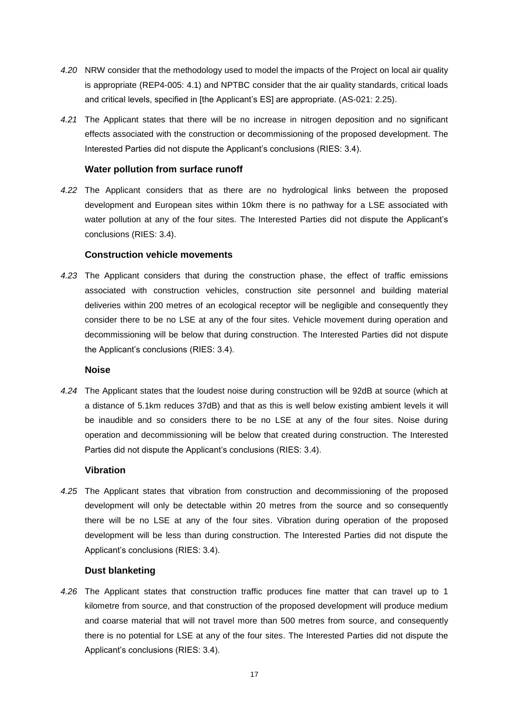- *4.20* NRW consider that the methodology used to model the impacts of the Project on local air quality is appropriate (REP4-005: 4.1) and NPTBC consider that the air quality standards, critical loads and critical levels, specified in [the Applicant's ES] are appropriate. (AS-021: 2.25).
- *4.21* The Applicant states that there will be no increase in nitrogen deposition and no significant effects associated with the construction or decommissioning of the proposed development. The Interested Parties did not dispute the Applicant's conclusions (RIES: 3.4).

#### **Water pollution from surface runoff**

*4.22* The Applicant considers that as there are no hydrological links between the proposed development and European sites within 10km there is no pathway for a LSE associated with water pollution at any of the four sites. The Interested Parties did not dispute the Applicant's conclusions (RIES: 3.4).

#### **Construction vehicle movements**

*4.23* The Applicant considers that during the construction phase, the effect of traffic emissions associated with construction vehicles, construction site personnel and building material deliveries within 200 metres of an ecological receptor will be negligible and consequently they consider there to be no LSE at any of the four sites. Vehicle movement during operation and decommissioning will be below that during construction. The Interested Parties did not dispute the Applicant's conclusions (RIES: 3.4).

#### **Noise**

*4.24* The Applicant states that the loudest noise during construction will be 92dB at source (which at a distance of 5.1km reduces 37dB) and that as this is well below existing ambient levels it will be inaudible and so considers there to be no LSE at any of the four sites. Noise during operation and decommissioning will be below that created during construction. The Interested Parties did not dispute the Applicant's conclusions (RIES: 3.4).

#### **Vibration**

*4.25* The Applicant states that vibration from construction and decommissioning of the proposed development will only be detectable within 20 metres from the source and so consequently there will be no LSE at any of the four sites. Vibration during operation of the proposed development will be less than during construction. The Interested Parties did not dispute the Applicant's conclusions (RIES: 3.4).

#### **Dust blanketing**

*4.26* The Applicant states that construction traffic produces fine matter that can travel up to 1 kilometre from source, and that construction of the proposed development will produce medium and coarse material that will not travel more than 500 metres from source, and consequently there is no potential for LSE at any of the four sites. The Interested Parties did not dispute the Applicant's conclusions (RIES: 3.4).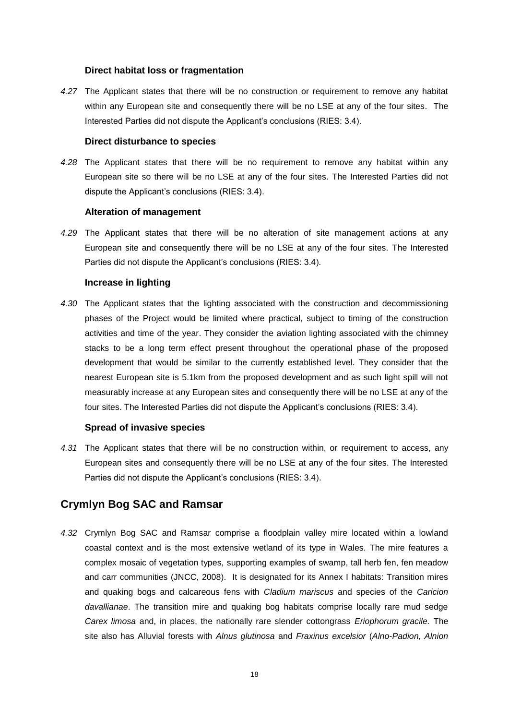#### **Direct habitat loss or fragmentation**

*4.27* The Applicant states that there will be no construction or requirement to remove any habitat within any European site and consequently there will be no LSE at any of the four sites. The Interested Parties did not dispute the Applicant's conclusions (RIES: 3.4).

#### **Direct disturbance to species**

*4.28* The Applicant states that there will be no requirement to remove any habitat within any European site so there will be no LSE at any of the four sites. The Interested Parties did not dispute the Applicant's conclusions (RIES: 3.4).

#### **Alteration of management**

*4.29* The Applicant states that there will be no alteration of site management actions at any European site and consequently there will be no LSE at any of the four sites. The Interested Parties did not dispute the Applicant's conclusions (RIES: 3.4).

#### **Increase in lighting**

*4.30* The Applicant states that the lighting associated with the construction and decommissioning phases of the Project would be limited where practical, subject to timing of the construction activities and time of the year. They consider the aviation lighting associated with the chimney stacks to be a long term effect present throughout the operational phase of the proposed development that would be similar to the currently established level. They consider that the nearest European site is 5.1km from the proposed development and as such light spill will not measurably increase at any European sites and consequently there will be no LSE at any of the four sites. The Interested Parties did not dispute the Applicant's conclusions (RIES: 3.4).

#### **Spread of invasive species**

*4.31* The Applicant states that there will be no construction within, or requirement to access, any European sites and consequently there will be no LSE at any of the four sites. The Interested Parties did not dispute the Applicant's conclusions (RIES: 3.4).

### **Crymlyn Bog SAC and Ramsar**

*4.32* Crymlyn Bog SAC and Ramsar comprise a floodplain valley mire located within a lowland coastal context and is the most extensive wetland of its type in Wales. The mire features a complex mosaic of vegetation types, supporting examples of swamp, tall herb fen, fen meadow and carr communities (JNCC, 2008). It is designated for its Annex I habitats: Transition mires and quaking bogs and calcareous fens with *Cladium mariscus* and species of the *Caricion davallianae*. The transition mire and quaking bog habitats comprise locally rare mud sedge *Carex limosa* and, in places, the nationally rare slender cottongrass *Eriophorum gracile.* The site also has Alluvial forests with *Alnus glutinosa* and *Fraxinus excelsior* (*Alno-Padion, Alnion*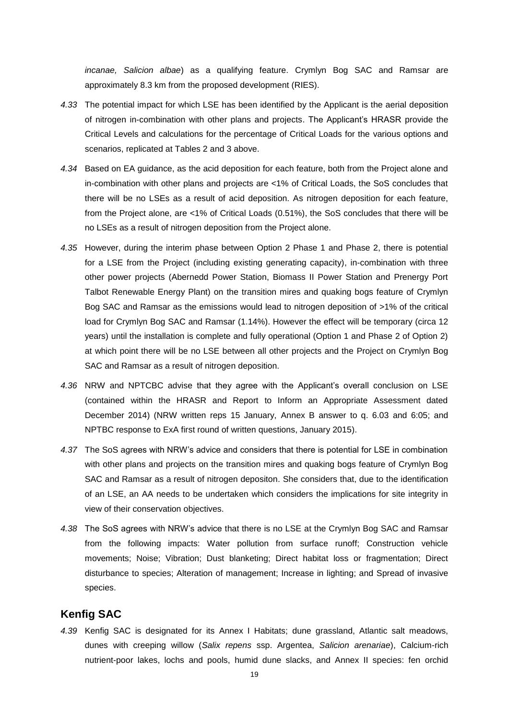*incanae, Salicion albae*) as a qualifying feature. Crymlyn Bog SAC and Ramsar are approximately 8.3 km from the proposed development (RIES).

- *4.33* The potential impact for which LSE has been identified by the Applicant is the aerial deposition of nitrogen in-combination with other plans and projects. The Applicant's HRASR provide the Critical Levels and calculations for the percentage of Critical Loads for the various options and scenarios, replicated at Tables 2 and 3 above.
- *4.34* Based on EA guidance, as the acid deposition for each feature, both from the Project alone and in-combination with other plans and projects are <1% of Critical Loads, the SoS concludes that there will be no LSEs as a result of acid deposition. As nitrogen deposition for each feature, from the Project alone, are <1% of Critical Loads (0.51%), the SoS concludes that there will be no LSEs as a result of nitrogen deposition from the Project alone.
- *4.35* However, during the interim phase between Option 2 Phase 1 and Phase 2, there is potential for a LSE from the Project (including existing generating capacity), in-combination with three other power projects (Abernedd Power Station, Biomass II Power Station and Prenergy Port Talbot Renewable Energy Plant) on the transition mires and quaking bogs feature of Crymlyn Bog SAC and Ramsar as the emissions would lead to nitrogen deposition of >1% of the critical load for Crymlyn Bog SAC and Ramsar (1.14%). However the effect will be temporary (circa 12 years) until the installation is complete and fully operational (Option 1 and Phase 2 of Option 2) at which point there will be no LSE between all other projects and the Project on Crymlyn Bog SAC and Ramsar as a result of nitrogen deposition.
- *4.36* NRW and NPTCBC advise that they agree with the Applicant's overall conclusion on LSE (contained within the HRASR and Report to Inform an Appropriate Assessment dated December 2014) (NRW written reps 15 January, Annex B answer to q. 6.03 and 6:05; and NPTBC response to ExA first round of written questions, January 2015).
- *4.37* The SoS agrees with NRW's advice and considers that there is potential for LSE in combination with other plans and projects on the transition mires and quaking bogs feature of Crymlyn Bog SAC and Ramsar as a result of nitrogen depositon. She considers that, due to the identification of an LSE, an AA needs to be undertaken which considers the implications for site integrity in view of their conservation objectives.
- *4.38* The SoS agrees with NRW's advice that there is no LSE at the Crymlyn Bog SAC and Ramsar from the following impacts: Water pollution from surface runoff; Construction vehicle movements; Noise; Vibration; Dust blanketing; Direct habitat loss or fragmentation; Direct disturbance to species; Alteration of management; Increase in lighting; and Spread of invasive species.

### **Kenfig SAC**

*4.39* Kenfig SAC is designated for its Annex I Habitats; dune grassland, Atlantic salt meadows, dunes with creeping willow (*Salix repens* ssp. Argentea, *Salicion arenariae*), Calcium-rich nutrient-poor lakes, lochs and pools, humid dune slacks, and Annex II species: fen orchid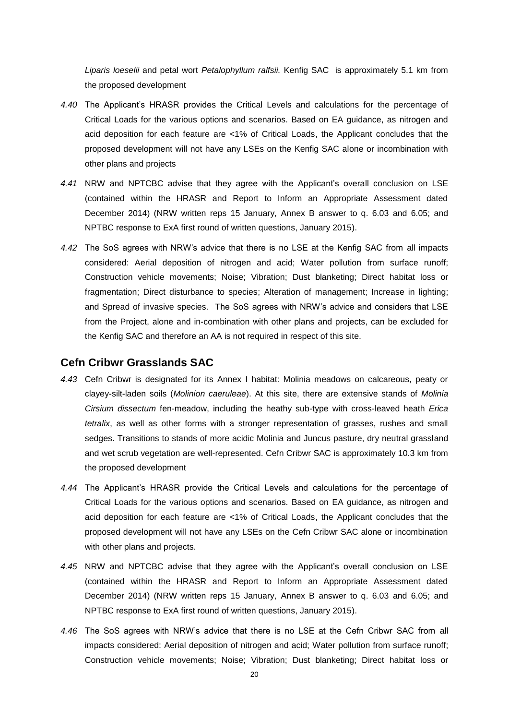*Liparis loeselii* and petal wort *Petalophyllum ralfsii.* Kenfig SAC is approximately 5.1 km from the proposed development

- *4.40* The Applicant's HRASR provides the Critical Levels and calculations for the percentage of Critical Loads for the various options and scenarios. Based on EA guidance, as nitrogen and acid deposition for each feature are <1% of Critical Loads, the Applicant concludes that the proposed development will not have any LSEs on the Kenfig SAC alone or incombination with other plans and projects
- *4.41* NRW and NPTCBC advise that they agree with the Applicant's overall conclusion on LSE (contained within the HRASR and Report to Inform an Appropriate Assessment dated December 2014) (NRW written reps 15 January, Annex B answer to q. 6.03 and 6.05; and NPTBC response to ExA first round of written questions, January 2015).
- *4.42* The SoS agrees with NRW's advice that there is no LSE at the Kenfig SAC from all impacts considered: Aerial deposition of nitrogen and acid; Water pollution from surface runoff; Construction vehicle movements; Noise; Vibration; Dust blanketing; Direct habitat loss or fragmentation; Direct disturbance to species; Alteration of management; Increase in lighting; and Spread of invasive species. The SoS agrees with NRW's advice and considers that LSE from the Project, alone and in-combination with other plans and projects, can be excluded for the Kenfig SAC and therefore an AA is not required in respect of this site.

#### **Cefn Cribwr Grasslands SAC**

- *4.43* Cefn Cribwr is designated for its Annex I habitat: Molinia meadows on calcareous, peaty or clayey-silt-laden soils (*Molinion caeruleae*). At this site, there are extensive stands of *Molinia Cirsium dissectum* fen-meadow, including the heathy sub-type with cross-leaved heath *Erica tetralix*, as well as other forms with a stronger representation of grasses, rushes and small sedges. Transitions to stands of more acidic Molinia and Juncus pasture, dry neutral grassland and wet scrub vegetation are well-represented. Cefn Cribwr SAC is approximately 10.3 km from the proposed development
- *4.44* The Applicant's HRASR provide the Critical Levels and calculations for the percentage of Critical Loads for the various options and scenarios. Based on EA guidance, as nitrogen and acid deposition for each feature are <1% of Critical Loads, the Applicant concludes that the proposed development will not have any LSEs on the Cefn Cribwr SAC alone or incombination with other plans and projects.
- *4.45* NRW and NPTCBC advise that they agree with the Applicant's overall conclusion on LSE (contained within the HRASR and Report to Inform an Appropriate Assessment dated December 2014) (NRW written reps 15 January, Annex B answer to q. 6.03 and 6.05; and NPTBC response to ExA first round of written questions, January 2015).
- *4.46* The SoS agrees with NRW's advice that there is no LSE at the Cefn Cribwr SAC from all impacts considered: Aerial deposition of nitrogen and acid; Water pollution from surface runoff; Construction vehicle movements; Noise; Vibration; Dust blanketing; Direct habitat loss or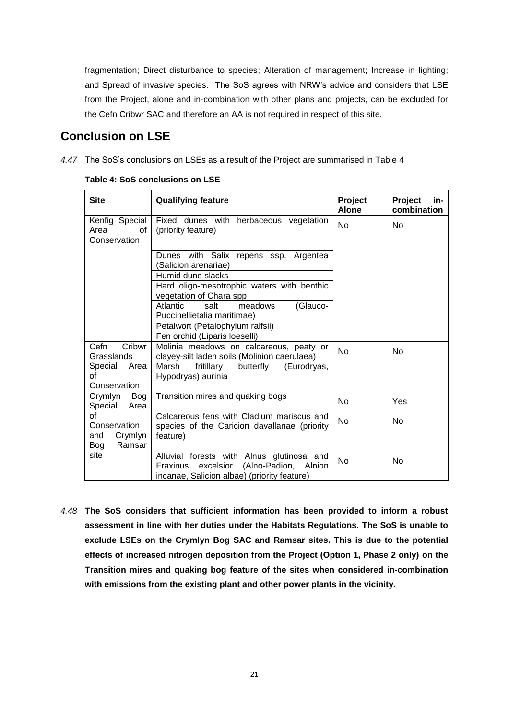fragmentation; Direct disturbance to species; Alteration of management; Increase in lighting; and Spread of invasive species. The SoS agrees with NRW's advice and considers that LSE from the Project, alone and in-combination with other plans and projects, can be excluded for the Cefn Cribwr SAC and therefore an AA is not required in respect of this site.

## **Conclusion on LSE**

*4.47* The SoS's conclusions on LSEs as a result of the Project are summarised in Table 4

| <b>Site</b>                                  | <b>Qualifying feature</b>                                                                                                              | Project<br><b>Alone</b> | Project<br>in-<br>combination |
|----------------------------------------------|----------------------------------------------------------------------------------------------------------------------------------------|-------------------------|-------------------------------|
| Kenfig Special<br>Area<br>οf<br>Conservation | Fixed dunes with herbaceous vegetation<br>(priority feature)                                                                           | No                      | No                            |
|                                              | Dunes with Salix repens ssp. Argentea<br>(Salicion arenariae)                                                                          |                         |                               |
|                                              | Humid dune slacks                                                                                                                      |                         |                               |
|                                              | Hard oligo-mesotrophic waters with benthic<br>vegetation of Chara spp                                                                  |                         |                               |
|                                              | Atlantic<br>salt<br>(Glauco-<br>meadows<br>Puccinellietalia maritimae)                                                                 |                         |                               |
|                                              | Petalwort (Petalophylum ralfsii)                                                                                                       |                         |                               |
|                                              | Fen orchid (Liparis loeselli)                                                                                                          |                         |                               |
| Cefn<br>Cribwr<br>Grasslands                 | Molinia meadows on calcareous, peaty or<br>clayey-silt laden soils (Molinion caerulaea)                                                | <b>No</b>               | N <sub>o</sub>                |
| Special Area<br>οf                           | Marsh<br>fritillary<br>butterfly<br>(Eurodryas,<br>Hypodryas) aurinia                                                                  |                         |                               |
| Conservation                                 |                                                                                                                                        |                         |                               |
| Crymlyn<br>Bog<br>Special<br>Area            | Transition mires and quaking bogs                                                                                                      | <b>No</b>               | Yes                           |
| оf<br>Conservation                           | Calcareous fens with Cladium mariscus and<br>species of the Caricion davallanae (priority                                              | No                      | <b>No</b>                     |
| Crymlyn<br>and<br>Ramsar<br>Bog              | feature)                                                                                                                               |                         |                               |
| site                                         | Alluvial forests with Alnus glutinosa and<br>excelsior (Alno-Padion, Alnion<br>Fraxinus<br>incanae, Salicion albae) (priority feature) | <b>No</b>               | <b>No</b>                     |

**Table 4: SoS conclusions on LSE**

*4.48* **The SoS considers that sufficient information has been provided to inform a robust assessment in line with her duties under the Habitats Regulations. The SoS is unable to exclude LSEs on the Crymlyn Bog SAC and Ramsar sites. This is due to the potential effects of increased nitrogen deposition from the Project (Option 1, Phase 2 only) on the Transition mires and quaking bog feature of the sites when considered in-combination with emissions from the existing plant and other power plants in the vicinity.**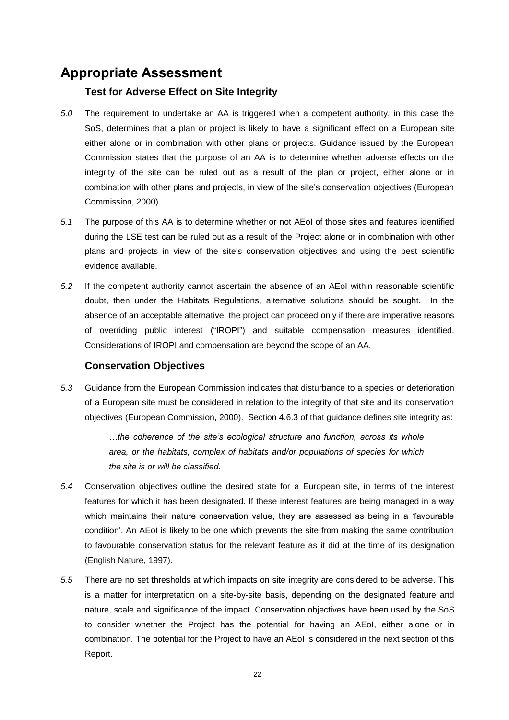## <span id="page-21-0"></span>**Appropriate Assessment**

#### **Test for Adverse Effect on Site Integrity**

- *5.0* The requirement to undertake an AA is triggered when a competent authority, in this case the SoS, determines that a plan or project is likely to have a significant effect on a European site either alone or in combination with other plans or projects. Guidance issued by the European Commission states that the purpose of an AA is to determine whether adverse effects on the integrity of the site can be ruled out as a result of the plan or project, either alone or in combination with other plans and projects, in view of the site's conservation objectives (European Commission, 2000).
- *5.1* The purpose of this AA is to determine whether or not AEoI of those sites and features identified during the LSE test can be ruled out as a result of the Project alone or in combination with other plans and projects in view of the site's conservation objectives and using the best scientific evidence available.
- *5.2* If the competent authority cannot ascertain the absence of an AEoI within reasonable scientific doubt, then under the Habitats Regulations, alternative solutions should be sought. In the absence of an acceptable alternative, the project can proceed only if there are imperative reasons of overriding public interest ("IROPI") and suitable compensation measures identified. Considerations of IROPI and compensation are beyond the scope of an AA.

#### **Conservation Objectives**

*5.3* Guidance from the European Commission indicates that disturbance to a species or deterioration of a European site must be considered in relation to the integrity of that site and its conservation objectives (European Commission, 2000). Section 4.6.3 of that guidance defines *s*ite integrity as:

> *…the coherence of the site's ecological structure and function, across its whole area, or the habitats, complex of habitats and/or populations of species for which the site is or will be classified.*

- *5.4* Conservation objectives outline the desired state for a European site, in terms of the interest features for which it has been designated. If these interest features are being managed in a way which maintains their nature conservation value, they are assessed as being in a 'favourable condition'. An AEoI is likely to be one which prevents the site from making the same contribution to favourable conservation status for the relevant feature as it did at the time of its designation (English Nature, 1997).
- *5.5* There are no set thresholds at which impacts on site integrity are considered to be adverse. This is a matter for interpretation on a site-by-site basis, depending on the designated feature and nature, scale and significance of the impact. Conservation objectives have been used by the SoS to consider whether the Project has the potential for having an AEoI, either alone or in combination. The potential for the Project to have an AEoI is considered in the next section of this Report.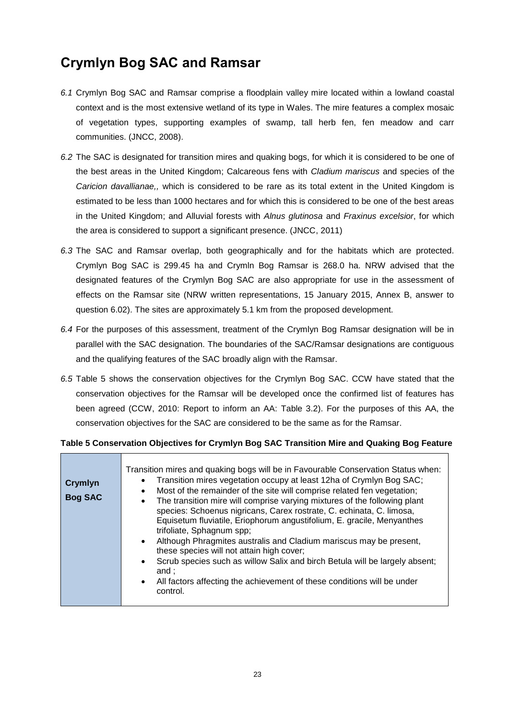# <span id="page-22-0"></span>**Crymlyn Bog SAC and Ramsar**

- *6.1* Crymlyn Bog SAC and Ramsar comprise a floodplain valley mire located within a lowland coastal context and is the most extensive wetland of its type in Wales. The mire features a complex mosaic of vegetation types, supporting examples of swamp, tall herb fen, fen meadow and carr communities. (JNCC, 2008).
- *6.2* The SAC is designated for transition mires and quaking bogs, for which it is considered to be one of the best areas in the United Kingdom; Calcareous fens with *Cladium mariscus* and species of the *Caricion davallianae,,* which is considered to be rare as its total extent in the United Kingdom is estimated to be less than 1000 hectares and for which this is considered to be one of the best areas in the United Kingdom; and Alluvial forests with *Alnus glutinosa* and *Fraxinus excelsior*, for which the area is considered to support a significant presence. (JNCC, 2011)
- *6.3* The SAC and Ramsar overlap, both geographically and for the habitats which are protected. Crymlyn Bog SAC is 299.45 ha and Crymln Bog Ramsar is 268.0 ha. NRW advised that the designated features of the Crymlyn Bog SAC are also appropriate for use in the assessment of effects on the Ramsar site (NRW written representations, 15 January 2015, Annex B, answer to question 6.02). The sites are approximately 5.1 km from the proposed development.
- *6.4* For the purposes of this assessment, treatment of the Crymlyn Bog Ramsar designation will be in parallel with the SAC designation. The boundaries of the SAC/Ramsar designations are contiguous and the qualifying features of the SAC broadly align with the Ramsar.
- *6.5* Table 5 shows the conservation objectives for the Crymlyn Bog SAC. CCW have stated that the conservation objectives for the Ramsar will be developed once the confirmed list of features has been agreed (CCW, 2010: Report to inform an AA: Table 3.2). For the purposes of this AA, the conservation objectives for the SAC are considered to be the same as for the Ramsar.

#### **Table 5 Conservation Objectives for Crymlyn Bog SAC Transition Mire and Quaking Bog Feature**

<span id="page-22-1"></span>

| Crymlyn<br><b>Bog SAC</b> | Transition mires and quaking bogs will be in Favourable Conservation Status when:<br>Transition mires vegetation occupy at least 12ha of Crymlyn Bog SAC;<br>Most of the remainder of the site will comprise related fen vegetation;<br>$\bullet$<br>The transition mire will comprise varying mixtures of the following plant<br>$\bullet$<br>species: Schoenus nigricans, Carex rostrate, C. echinata, C. limosa,<br>Equisetum fluviatile, Eriophorum angustifolium, E. gracile, Menyanthes<br>trifoliate, Sphagnum spp;<br>Although Phragmites australis and Cladium mariscus may be present,<br>$\bullet$ |
|---------------------------|---------------------------------------------------------------------------------------------------------------------------------------------------------------------------------------------------------------------------------------------------------------------------------------------------------------------------------------------------------------------------------------------------------------------------------------------------------------------------------------------------------------------------------------------------------------------------------------------------------------|
|                           | these species will not attain high cover;<br>Scrub species such as willow Salix and birch Betula will be largely absent;<br>$\bullet$<br>and :                                                                                                                                                                                                                                                                                                                                                                                                                                                                |
|                           | All factors affecting the achievement of these conditions will be under<br>$\bullet$<br>control.                                                                                                                                                                                                                                                                                                                                                                                                                                                                                                              |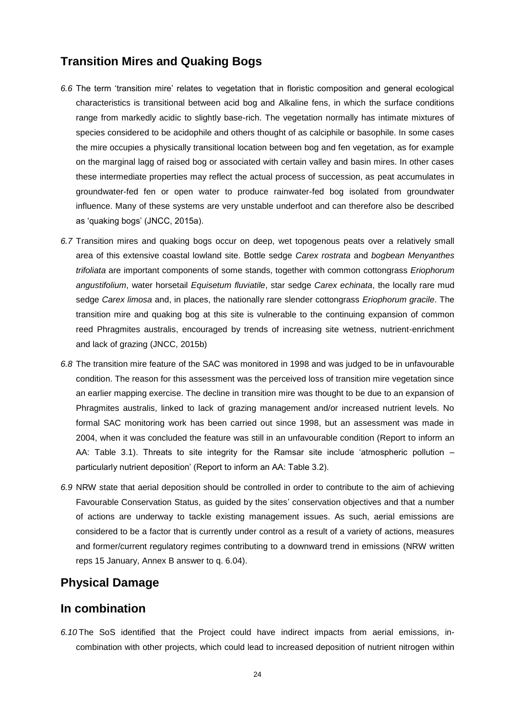### **Transition Mires and Quaking Bogs**

- *6.6* The term 'transition mire' relates to vegetation that in floristic composition and general ecological characteristics is transitional between acid bog and Alkaline fens, in which the surface conditions range from markedly acidic to slightly base-rich. The vegetation normally has intimate mixtures of species considered to be acidophile and others thought of as calciphile or basophile. In some cases the mire occupies a physically transitional location between bog and fen vegetation, as for example on the marginal lagg of raised bog or associated with certain valley and basin mires. In other cases these intermediate properties may reflect the actual process of succession, as peat accumulates in groundwater-fed fen or open water to produce rainwater-fed bog isolated from groundwater influence. Many of these systems are very unstable underfoot and can therefore also be described as 'quaking bogs' (JNCC, 2015a).
- *6.7* Transition mires and quaking bogs occur on deep, wet topogenous peats over a relatively small area of this extensive coastal lowland site. Bottle sedge *Carex rostrata* and *bogbean Menyanthes trifoliata* are important components of some stands, together with common cottongrass *Eriophorum angustifolium*, water horsetail *Equisetum fluviatile*, star sedge *Carex echinata*, the locally rare mud sedge *Carex limosa* and, in places, the nationally rare slender cottongrass *Eriophorum gracile*. The transition mire and quaking bog at this site is vulnerable to the continuing expansion of common reed Phragmites australis, encouraged by trends of increasing site wetness, nutrient-enrichment and lack of grazing (JNCC, 2015b)
- *6.8* The transition mire feature of the SAC was monitored in 1998 and was judged to be in unfavourable condition. The reason for this assessment was the perceived loss of transition mire vegetation since an earlier mapping exercise. The decline in transition mire was thought to be due to an expansion of Phragmites australis, linked to lack of grazing management and/or increased nutrient levels. No formal SAC monitoring work has been carried out since 1998, but an assessment was made in 2004, when it was concluded the feature was still in an unfavourable condition (Report to inform an AA: Table 3.1). Threats to site integrity for the Ramsar site include 'atmospheric pollution – particularly nutrient deposition' (Report to inform an AA: Table 3.2).
- *6.9* NRW state that aerial deposition should be controlled in order to contribute to the aim of achieving Favourable Conservation Status, as guided by the sites' conservation objectives and that a number of actions are underway to tackle existing management issues. As such, aerial emissions are considered to be a factor that is currently under control as a result of a variety of actions, measures and former/current regulatory regimes contributing to a downward trend in emissions (NRW written reps 15 January, Annex B answer to q. 6.04).

### **Physical Damage**

### **In combination**

*6.10* The SoS identified that the Project could have indirect impacts from aerial emissions, incombination with other projects, which could lead to increased deposition of nutrient nitrogen within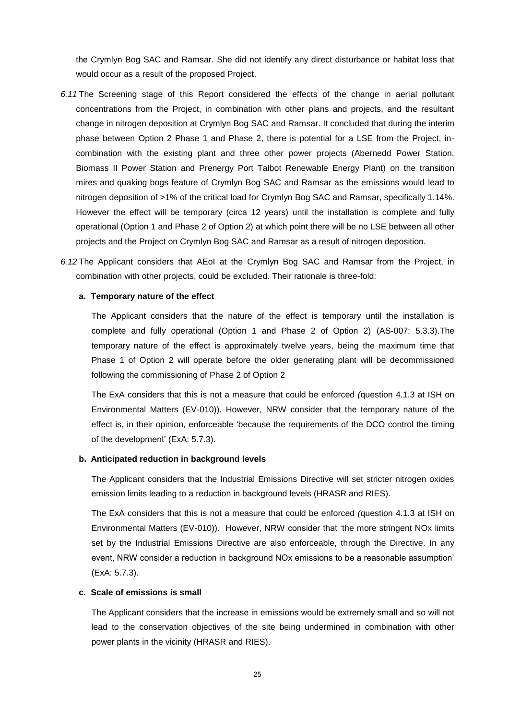the Crymlyn Bog SAC and Ramsar. She did not identify any direct disturbance or habitat loss that would occur as a result of the proposed Project.

- *6.11* The Screening stage of this Report considered the effects of the change in aerial pollutant concentrations from the Project, in combination with other plans and projects, and the resultant change in nitrogen deposition at Crymlyn Bog SAC and Ramsar. It concluded that during the interim phase between Option 2 Phase 1 and Phase 2, there is potential for a LSE from the Project, incombination with the existing plant and three other power projects (Abernedd Power Station, Biomass II Power Station and Prenergy Port Talbot Renewable Energy Plant) on the transition mires and quaking bogs feature of Crymlyn Bog SAC and Ramsar as the emissions would lead to nitrogen deposition of >1% of the critical load for Crymlyn Bog SAC and Ramsar, specifically 1.14%. However the effect will be temporary (circa 12 years) until the installation is complete and fully operational (Option 1 and Phase 2 of Option 2) at which point there will be no LSE between all other projects and the Project on Crymlyn Bog SAC and Ramsar as a result of nitrogen deposition.
- *6.12* The Applicant considers that AEoI at the Crymlyn Bog SAC and Ramsar from the Project, in combination with other projects, could be excluded. Their rationale is three-fold:

#### **a. Temporary nature of the effect**

The Applicant considers that the nature of the effect is temporary until the installation is complete and fully operational (Option 1 and Phase 2 of Option 2) (AS-007: 5.3.3).The temporary nature of the effect is approximately twelve years, being the maximum time that Phase 1 of Option 2 will operate before the older generating plant will be decommissioned following the commissioning of Phase 2 of Option 2

The ExA considers that this is not a measure that could be enforced *(*question 4.1.3 at ISH on Environmental Matters (EV-010)). However, NRW consider that the temporary nature of the effect is, in their opinion, enforceable 'because the requirements of the DCO control the timing of the development' (ExA: 5.7.3).

#### **b. Anticipated reduction in background levels**

The Applicant considers that the Industrial Emissions Directive will set stricter nitrogen oxides emission limits leading to a reduction in background levels (HRASR and RIES).

The ExA considers that this is not a measure that could be enforced *(*question 4.1.3 at ISH on Environmental Matters (EV-010)). However, NRW consider that 'the more stringent NOx limits set by the Industrial Emissions Directive are also enforceable, through the Directive. In any event, NRW consider a reduction in background NOx emissions to be a reasonable assumption' (ExA: 5.7.3).

#### **c. Scale of emissions is small**

The Applicant considers that the increase in emissions would be extremely small and so will not lead to the conservation objectives of the site being undermined in combination with other power plants in the vicinity (HRASR and RIES).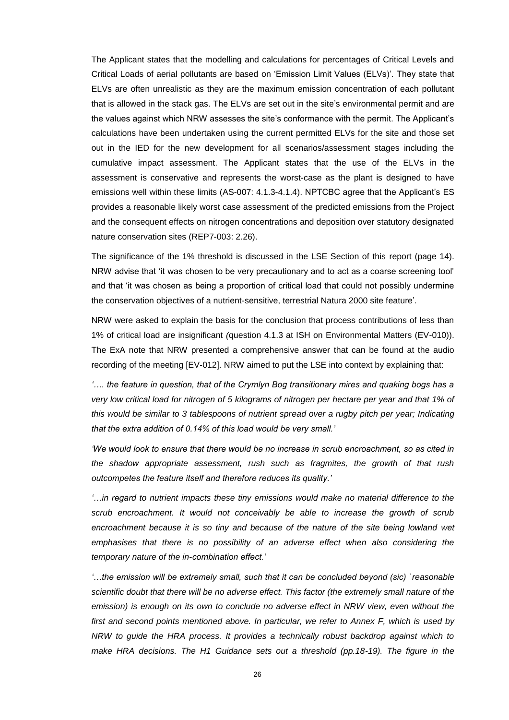The Applicant states that the modelling and calculations for percentages of Critical Levels and Critical Loads of aerial pollutants are based on 'Emission Limit Values (ELVs)'. They state that ELVs are often unrealistic as they are the maximum emission concentration of each pollutant that is allowed in the stack gas. The ELVs are set out in the site's environmental permit and are the values against which NRW assesses the site's conformance with the permit. The Applicant's calculations have been undertaken using the current permitted ELVs for the site and those set out in the IED for the new development for all scenarios/assessment stages including the cumulative impact assessment. The Applicant states that the use of the ELVs in the assessment is conservative and represents the worst-case as the plant is designed to have emissions well within these limits (AS-007: 4.1.3-4.1.4). NPTCBC agree that the Applicant's ES provides a reasonable likely worst case assessment of the predicted emissions from the Project and the consequent effects on nitrogen concentrations and deposition over statutory designated nature conservation sites (REP7-003: 2.26).

The significance of the 1% threshold is discussed in the LSE Section of this report (page 14). NRW advise that 'it was chosen to be very precautionary and to act as a coarse screening tool' and that 'it was chosen as being a proportion of critical load that could not possibly undermine the conservation objectives of a nutrient-sensitive, terrestrial Natura 2000 site feature'.

NRW were asked to explain the basis for the conclusion that process contributions of less than 1% of critical load are insignificant *(*question 4.1.3 at ISH on Environmental Matters (EV-010)). The ExA note that NRW presented a comprehensive answer that can be found at the audio recording of the meeting [EV-012]. NRW aimed to put the LSE into context by explaining that:

*'…. the feature in question, that of the Crymlyn Bog transitionary mires and quaking bogs has a very low critical load for nitrogen of 5 kilograms of nitrogen per hectare per year and that 1% of this would be similar to 3 tablespoons of nutrient spread over a rugby pitch per year; Indicating that the extra addition of 0.14% of this load would be very small.'* 

*'We would look to ensure that there would be no increase in scrub encroachment, so as cited in the shadow appropriate assessment, rush such as fragmites, the growth of that rush outcompetes the feature itself and therefore reduces its quality.'* 

*'…in regard to nutrient impacts these tiny emissions would make no material difference to the*  scrub encroachment. It would not conceivably be able to increase the growth of scrub *encroachment because it is so tiny and because of the nature of the site being lowland wet*  emphasises that there is no possibility of an adverse effect when also considering the *temporary nature of the in-combination effect.'*

<span id="page-25-0"></span>*'…the emission will be extremely small, such that it can be concluded beyond (sic) `reasonable scientific doubt that there will be no adverse effect. This factor (the extremely small nature of the emission) is enough on its own to conclude no adverse effect in NRW view, even without the*  first and second points mentioned above. In particular, we refer to Annex F, which is used by *NRW to guide the HRA process. It provides a technically robust backdrop against which to make HRA decisions. The H1 Guidance sets out a threshold (pp.18-19). The figure in the*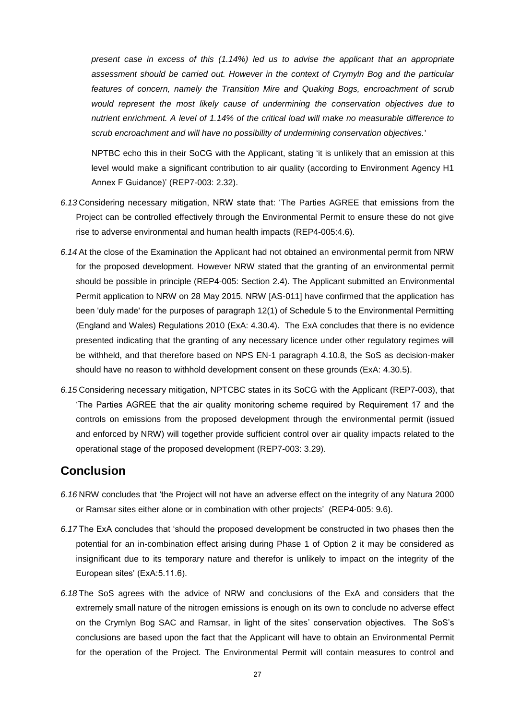*present case in excess of this (1.14%) led us to advise the applicant that an appropriate assessment should be carried out. However in the context of Crymyln Bog and the particular*  features of concern, namely the Transition Mire and Quaking Bogs, encroachment of scrub *would represent the most likely cause of undermining the conservation objectives due to nutrient enrichment. A level of 1.14% of the critical load will make no measurable difference to scrub encroachment and will have no possibility of undermining conservation objectives.*'

NPTBC echo this in their SoCG with the Applicant, stating 'it is unlikely that an emission at this level would make a significant contribution to air quality (according to Environment Agency H1 Annex F Guidance)' (REP7-003: 2.32).

- *6.13* Considering necessary mitigation, NRW state that: 'The Parties AGREE that emissions from the Project can be controlled effectively through the Environmental Permit to ensure these do not give rise to adverse environmental and human health impacts (REP4-005:4.6).
- *6.14* At the close of the Examination the Applicant had not obtained an environmental permit from NRW for the proposed development. However NRW stated that the granting of an environmental permit should be possible in principle (REP4-005: Section 2.4). The Applicant submitted an Environmental Permit application to NRW on 28 May 2015. NRW [AS-011] have confirmed that the application has been 'duly made' for the purposes of paragraph 12(1) of Schedule 5 to the Environmental Permitting (England and Wales) Regulations 2010 (ExA: 4.30.4). The ExA concludes that there is no evidence presented indicating that the granting of any necessary licence under other regulatory regimes will be withheld, and that therefore based on NPS EN-1 paragraph 4.10.8, the SoS as decision-maker should have no reason to withhold development consent on these grounds (ExA: 4.30.5).
- *6.15* Considering necessary mitigation, NPTCBC states in its SoCG with the Applicant (REP7-003), that 'The Parties AGREE that the air quality monitoring scheme required by Requirement 17 and the controls on emissions from the proposed development through the environmental permit (issued and enforced by NRW) will together provide sufficient control over air quality impacts related to the operational stage of the proposed development (REP7-003: 3.29).

### <span id="page-26-0"></span>**Conclusion**

- *6.16* NRW concludes that 'the Project will not have an adverse effect on the integrity of any Natura 2000 or Ramsar sites either alone or in combination with other projects' (REP4-005: 9.6).
- *6.17* The ExA concludes that 'should the proposed development be constructed in two phases then the potential for an in-combination effect arising during Phase 1 of Option 2 it may be considered as insignificant due to its temporary nature and therefor is unlikely to impact on the integrity of the European sites' (ExA:5.11.6).
- *6.18* The SoS agrees with the advice of NRW and conclusions of the ExA and considers that the extremely small nature of the nitrogen emissions is enough on its own to conclude no adverse effect on the Crymlyn Bog SAC and Ramsar, in light of the sites' conservation objectives. The SoS's conclusions are based upon the fact that the Applicant will have to obtain an Environmental Permit for the operation of the Project. The Environmental Permit will contain measures to control and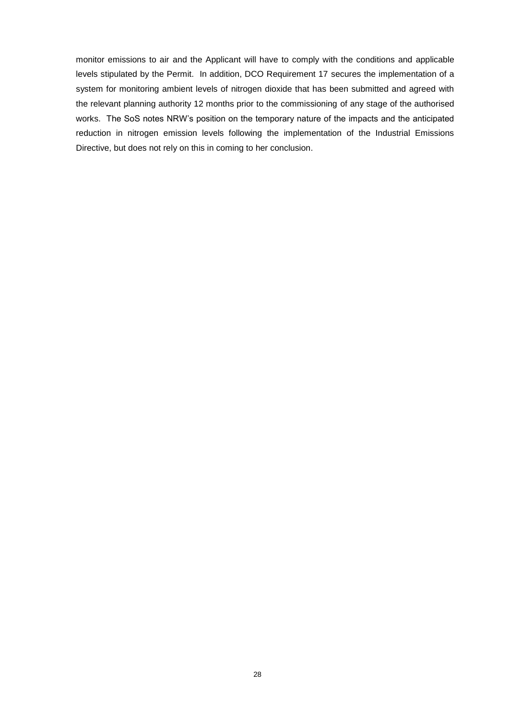<span id="page-27-0"></span>monitor emissions to air and the Applicant will have to comply with the conditions and applicable levels stipulated by the Permit. In addition, DCO Requirement 17 secures the implementation of a system for monitoring ambient levels of nitrogen dioxide that has been submitted and agreed with the relevant planning authority 12 months prior to the commissioning of any stage of the authorised works. The SoS notes NRW's position on the temporary nature of the impacts and the anticipated reduction in nitrogen emission levels following the implementation of the Industrial Emissions Directive, but does not rely on this in coming to her conclusion.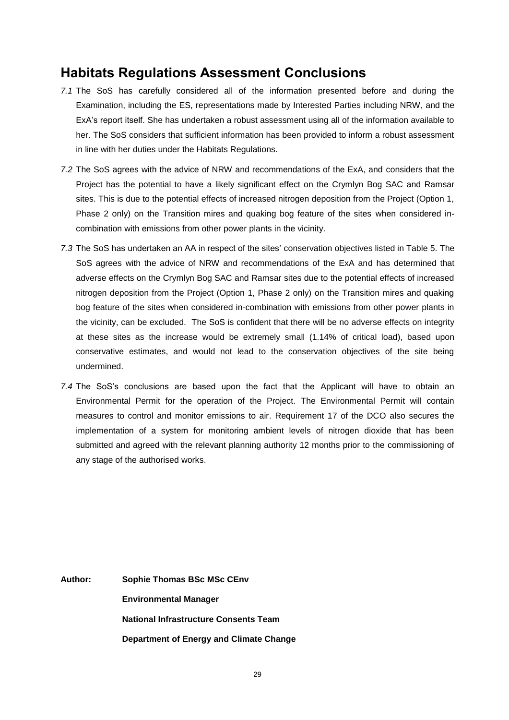## **Habitats Regulations Assessment Conclusions**

- *7.1* The SoS has carefully considered all of the information presented before and during the Examination, including the ES, representations made by Interested Parties including NRW, and the ExA's report itself. She has undertaken a robust assessment using all of the information available to her. The SoS considers that sufficient information has been provided to inform a robust assessment in line with her duties under the Habitats Regulations.
- *7.2* The SoS agrees with the advice of NRW and recommendations of the ExA, and considers that the Project has the potential to have a likely significant effect on the Crymlyn Bog SAC and Ramsar sites. This is due to the potential effects of increased nitrogen deposition from the Project (Option 1, Phase 2 only) on the Transition mires and quaking bog feature of the sites when considered incombination with emissions from other power plants in the vicinity.
- *7.3* The SoS has undertaken an AA in respect of the sites' conservation objectives listed in Table 5. The SoS agrees with the advice of NRW and recommendations of the ExA and has determined that adverse effects on the Crymlyn Bog SAC and Ramsar sites due to the potential effects of increased nitrogen deposition from the Project (Option 1, Phase 2 only) on the Transition mires and quaking bog feature of the sites when considered in-combination with emissions from other power plants in the vicinity, can be excluded. The SoS is confident that there will be no adverse effects on integrity at these sites as the increase would be extremely small (1.14% of critical load), based upon conservative estimates, and would not lead to the conservation objectives of the site being undermined.
- *7.4* The SoS's conclusions are based upon the fact that the Applicant will have to obtain an Environmental Permit for the operation of the Project. The Environmental Permit will contain measures to control and monitor emissions to air. Requirement 17 of the DCO also secures the implementation of a system for monitoring ambient levels of nitrogen dioxide that has been submitted and agreed with the relevant planning authority 12 months prior to the commissioning of any stage of the authorised works.

**Author: Sophie Thomas BSc MSc CEnv Environmental Manager National Infrastructure Consents Team Department of Energy and Climate Change**